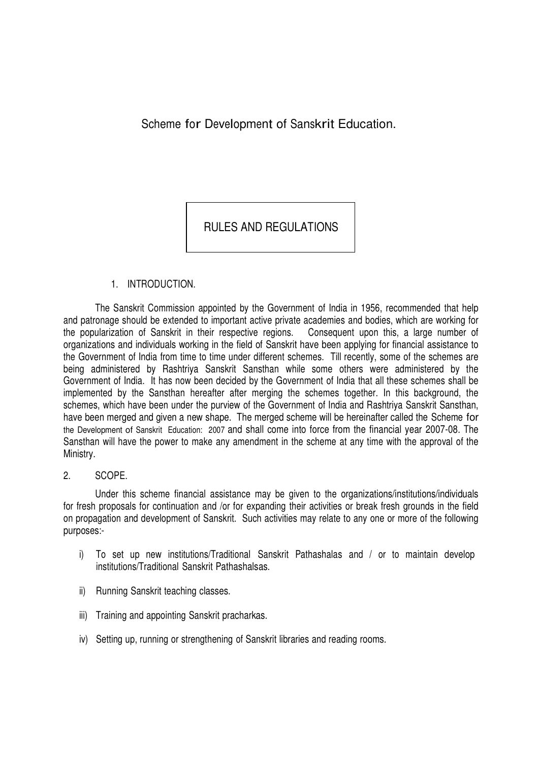Scheme for Development of Sanskrit Education.

RULES AND REGULATIONS

# 1. INTRODUCTION.

The Sanskrit Commission appointed by the Government of India in 1956, recommended that help and patronage should be extended to important active private academies and bodies, which are working for the popularization of Sanskrit in their respective regions. Consequent upon this, a large number of organizations and individuals working in the field of Sanskrit have been applying for financial assistance to the Government of India from time to time under different schemes. Till recently, some of the schemes are being administered by Rashtriya Sanskrit Sansthan while some others were administered by the Government of India. It has now been decided by the Government of India that all these schemes shall be implemented by the Sansthan hereafter after merging the schemes together. In this background, the schemes, which have been under the purview of the Government of India and Rashtriya Sanskrit Sansthan, have been merged and given a new shape. The merged scheme will be hereinafter called the Scheme for the Development of Sanskrit Education: 2007 and shall come into force from the financial year 2007-08. The Sansthan will have the power to make any amendment in the scheme at any time with the approval of the Ministry.

#### 2. SCOPE.

Under this scheme financial assistance may be given to the organizations/institutions/individuals for fresh proposals for continuation and /or for expanding their activities or break fresh grounds in the field on propagation and development of Sanskrit. Such activities may relate to any one or more of the following purposes:-

- i) To set up new institutions/Traditional Sanskrit Pathashalas and / or to maintain develop institutions/Traditional Sanskrit Pathashalsas.
- ii) Running Sanskrit teaching classes.
- iii) Training and appointing Sanskrit pracharkas.
- iv) Setting up, running or strengthening of Sanskrit libraries and reading rooms.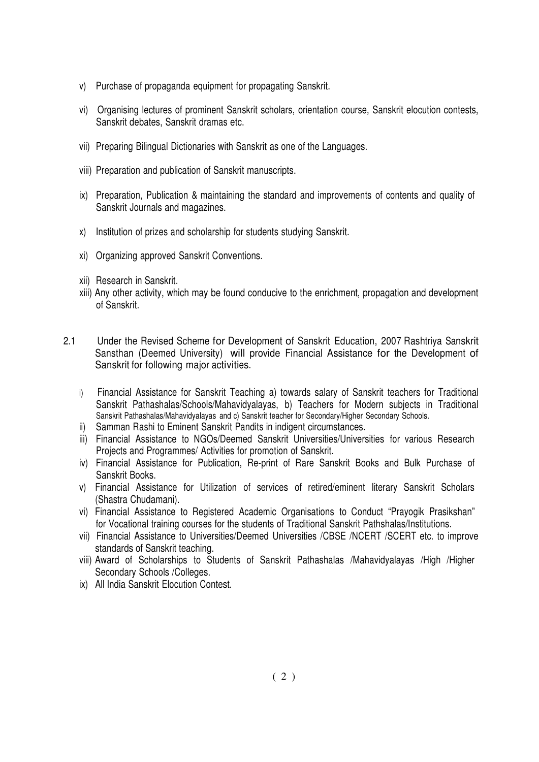- v) Purchase of propaganda equipment for propagating Sanskrit.
- vi) Organising lectures of prominent Sanskrit scholars, orientation course, Sanskrit elocution contests, Sanskrit debates, Sanskrit dramas etc.
- vii) Preparing Bilingual Dictionaries with Sanskrit as one of the Languages.
- viii) Preparation and publication of Sanskrit manuscripts.
- ix) Preparation, Publication & maintaining the standard and improvements of contents and quality of Sanskrit Journals and magazines.
- x) Institution of prizes and scholarship for students studying Sanskrit.
- xi) Organizing approved Sanskrit Conventions.
- xii) Research in Sanskrit.
- xiii) Any other activity, which may be found conducive to the enrichment, propagation and development of Sanskrit.
- 2.1 Under the Revised Scheme for Development of Sanskrit Education, 2007 Rashtriya Sanskrit Sansthan (Deemed University) will provide Financial Assistance for the Development of Sanskrit for following major activities.
	- i) Financial Assistance for Sanskrit Teaching a) towards salary of Sanskrit teachers for Traditional Sanskrit Pathashalas/Schools/Mahavidyalayas, b) Teachers for Modern subjects in Traditional Sanskrit Pathashalas/Mahavidyalayas and c) Sanskrit teacher for Secondary/Higher Secondary Schools.
	- ii) Samman Rashi to Eminent Sanskrit Pandits in indigent circumstances.
	- iii) Financial Assistance to NGOs/Deemed Sanskrit Universities/Universities for various Research Projects and Programmes/ Activities for promotion of Sanskrit.
	- iv) Financial Assistance for Publication, Re-print of Rare Sanskrit Books and Bulk Purchase of Sanskrit Books.
	- v) Financial Assistance for Utilization of services of retired/eminent literary Sanskrit Scholars (Shastra Chudamani).
	- vi) Financial Assistance to Registered Academic Organisations to Conduct "Prayogik Prasikshan" for Vocational training courses for the students of Traditional Sanskrit Pathshalas/Institutions.
	- vii) Financial Assistance to Universities/Deemed Universities /CBSE /NCERT /SCERT etc. to improve standards of Sanskrit teaching.
	- viii) Award of Scholarships to Students of Sanskrit Pathashalas /Mahavidyalayas /High /Higher Secondary Schools /Colleges.
	- ix) All India Sanskrit Elocution Contest.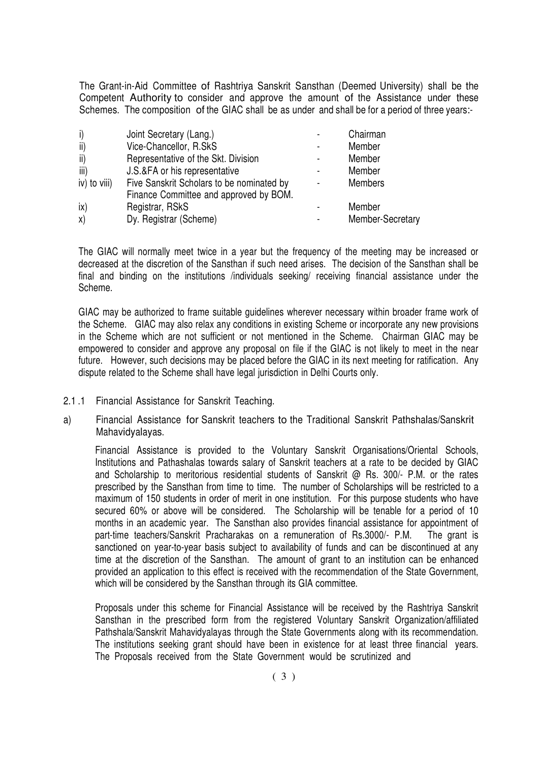The Grant-in-Aid Committee of Rashtriya Sanskrit Sansthan (Deemed University) shall be the Competent Authority to consider and approve the amount of the Assistance under these Schemes. The composition of the GIAC shall be as under and shall be for a period of three years:-

| i)           | Joint Secretary (Lang.)                                                             | ٠                        | Chairman         |
|--------------|-------------------------------------------------------------------------------------|--------------------------|------------------|
| ii)          | Vice-Chancellor, R.SkS                                                              | $\overline{\phantom{a}}$ | Member           |
| ii)          | Representative of the Skt. Division                                                 |                          | Member           |
| iii)         | J.S.&FA or his representative                                                       | ٠                        | Member           |
| iv) to viii) | Five Sanskrit Scholars to be nominated by<br>Finance Committee and approved by BOM. | $\overline{\phantom{a}}$ | <b>Members</b>   |
| ix)          | Registrar, RSkS                                                                     |                          | Member           |
| X)           | Dy. Registrar (Scheme)                                                              | ٠                        | Member-Secretary |

The GIAC will normally meet twice in a year but the frequency of the meeting may be increased or decreased at the discretion of the Sansthan if such need arises. The decision of the Sansthan shall be final and binding on the institutions /individuals seeking/ receiving financial assistance under the Scheme.

GIAC may be authorized to frame suitable guidelines wherever necessary within broader frame work of the Scheme. GIAC may also relax any conditions in existing Scheme or incorporate any new provisions in the Scheme which are not sufficient or not mentioned in the Scheme. Chairman GIAC may be empowered to consider and approve any proposal on file if the GIAC is not likely to meet in the near future. However, such decisions may be placed before the GIAC in its next meeting for ratification. Any dispute related to the Scheme shall have legal jurisdiction in Delhi Courts only.

- 2.1 .1 Financial Assistance for Sanskrit Teaching.
- a) Financial Assistance for Sanskrit teachers to the Traditional Sanskrit Pathshalas/Sanskrit Mahavidyalayas.

Financial Assistance is provided to the Voluntary Sanskrit Organisations/Oriental Schools, Institutions and Pathashalas towards salary of Sanskrit teachers at a rate to be decided by GIAC and Scholarship to meritorious residential students of Sanskrit @ Rs. 300/- P.M. or the rates prescribed by the Sansthan from time to time. The number of Scholarships will be restricted to a maximum of 150 students in order of merit in one institution. For this purpose students who have secured 60% or above will be considered. The Scholarship will be tenable for a period of 10 months in an academic year. The Sansthan also provides financial assistance for appointment of part-time teachers/Sanskrit Pracharakas on a remuneration of Rs.3000/- P.M. The grant is sanctioned on year-to-year basis subject to availability of funds and can be discontinued at any time at the discretion of the Sansthan. The amount of grant to an institution can be enhanced provided an application to this effect is received with the recommendation of the State Government, which will be considered by the Sansthan through its GIA committee.

Proposals under this scheme for Financial Assistance will be received by the Rashtriya Sanskrit Sansthan in the prescribed form from the registered Voluntary Sanskrit Organization/affiliated Pathshala/Sanskrit Mahavidyalayas through the State Governments along with its recommendation. The institutions seeking grant should have been in existence for at least three financial years. The Proposals received from the State Government would be scrutinized and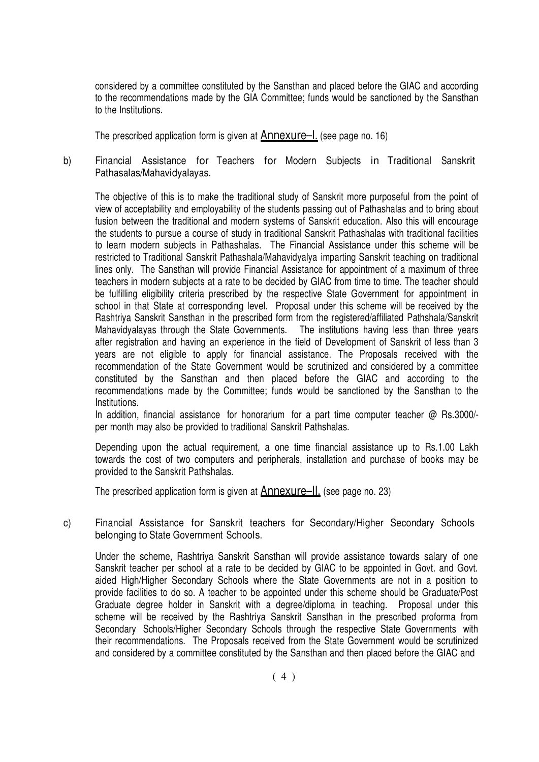considered by a committee constituted by the Sansthan and placed before the GIAC and according to the recommendations made by the GIA Committee; funds would be sanctioned by the Sansthan to the Institutions.

The prescribed application form is given at Annexure–I. (see page no. 16)

b) Financial Assistance for Teachers for Modern Subjects in Traditional Sanskrit Pathasalas/Mahavidyalayas.

The objective of this is to make the traditional study of Sanskrit more purposeful from the point of view of acceptability and employability of the students passing out of Pathashalas and to bring about fusion between the traditional and modern systems of Sanskrit education. Also this will encourage the students to pursue a course of study in traditional Sanskrit Pathashalas with traditional facilities to learn modern subjects in Pathashalas. The Financial Assistance under this scheme will be restricted to Traditional Sanskrit Pathashala/Mahavidyalya imparting Sanskrit teaching on traditional lines only. The Sansthan will provide Financial Assistance for appointment of a maximum of three teachers in modern subjects at a rate to be decided by GIAC from time to time. The teacher should be fulfilling eligibility criteria prescribed by the respective State Government for appointment in school in that State at corresponding level. Proposal under this scheme will be received by the Rashtriya Sanskrit Sansthan in the prescribed form from the registered/affiliated Pathshala/Sanskrit Mahavidyalayas through the State Governments. The institutions having less than three years after registration and having an experience in the field of Development of Sanskrit of less than 3 years are not eligible to apply for financial assistance. The Proposals received with the recommendation of the State Government would be scrutinized and considered by a committee constituted by the Sansthan and then placed before the GIAC and according to the recommendations made by the Committee; funds would be sanctioned by the Sansthan to the Institutions.

In addition, financial assistance for honorarium for a part time computer teacher @ Rs.3000/per month may also be provided to traditional Sanskrit Pathshalas.

Depending upon the actual requirement, a one time financial assistance up to Rs.1.00 Lakh towards the cost of two computers and peripherals, installation and purchase of books may be provided to the Sanskrit Pathshalas.

The prescribed application form is given at Annexure–II. (see page no. 23)

c) Financial Assistance for Sanskrit teachers for Secondary/Higher Secondary Schools belonging to State Government Schools.

Under the scheme, Rashtriya Sanskrit Sansthan will provide assistance towards salary of one Sanskrit teacher per school at a rate to be decided by GIAC to be appointed in Govt. and Govt. aided High/Higher Secondary Schools where the State Governments are not in a position to provide facilities to do so. A teacher to be appointed under this scheme should be Graduate/Post Graduate degree holder in Sanskrit with a degree/diploma in teaching. Proposal under this scheme will be received by the Rashtriya Sanskrit Sansthan in the prescribed proforma from Secondary Schools/Higher Secondary Schools through the respective State Governments with their recommendations. The Proposals received from the State Government would be scrutinized and considered by a committee constituted by the Sansthan and then placed before the GIAC and

 $(4)$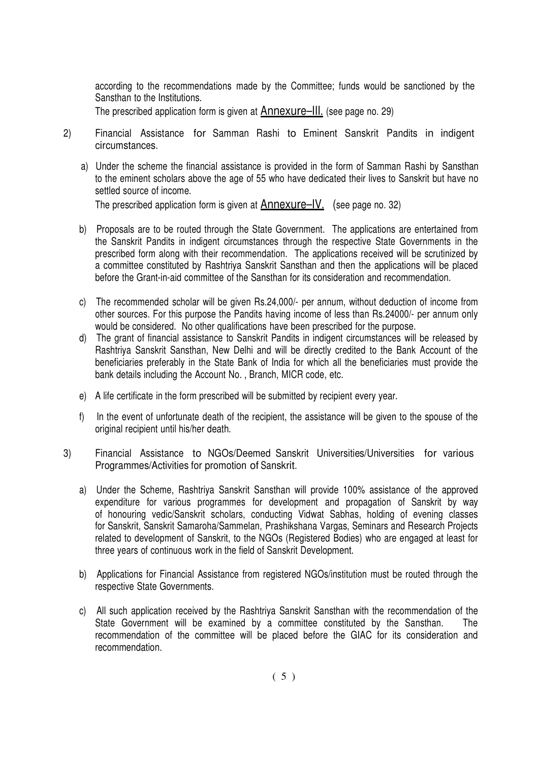according to the recommendations made by the Committee; funds would be sanctioned by the Sansthan to the Institutions.

The prescribed application form is given at **Annexure-III**. (see page no. 29)

- 2) Financial Assistance for Samman Rashi to Eminent Sanskrit Pandits in indigent circumstances.
	- a) Under the scheme the financial assistance is provided in the form of Samman Rashi by Sansthan to the eminent scholars above the age of 55 who have dedicated their lives to Sanskrit but have no settled source of income. The prescribed application form is given at Annexure–IV. (see page no. 32)
	- b) Proposals are to be routed through the State Government. The applications are entertained from the Sanskrit Pandits in indigent circumstances through the respective State Governments in the prescribed form along with their recommendation. The applications received will be scrutinized by a committee constituted by Rashtriya Sanskrit Sansthan and then the applications will be placed before the Grant-in-aid committee of the Sansthan for its consideration and recommendation.
	- c) The recommended scholar will be given Rs.24,000/- per annum, without deduction of income from other sources. For this purpose the Pandits having income of less than Rs.24000/- per annum only would be considered. No other qualifications have been prescribed for the purpose.
	- d) The grant of financial assistance to Sanskrit Pandits in indigent circumstances will be released by Rashtriya Sanskrit Sansthan, New Delhi and will be directly credited to the Bank Account of the beneficiaries preferably in the State Bank of India for which all the beneficiaries must provide the bank details including the Account No. , Branch, MICR code, etc.
	- e) A life certificate in the form prescribed will be submitted by recipient every year.
	- f) In the event of unfortunate death of the recipient, the assistance will be given to the spouse of the original recipient until his/her death.
- 3) Financial Assistance to NGOs/Deemed Sanskrit Universities/Universities for various Programmes/Activities for promotion of Sanskrit.
	- a) Under the Scheme, Rashtriya Sanskrit Sansthan will provide 100% assistance of the approved expenditure for various programmes for development and propagation of Sanskrit by way of honouring vedic/Sanskrit scholars, conducting Vidwat Sabhas, holding of evening classes for Sanskrit, Sanskrit Samaroha/Sammelan, Prashikshana Vargas, Seminars and Research Projects related to development of Sanskrit, to the NGOs (Registered Bodies) who are engaged at least for three years of continuous work in the field of Sanskrit Development.
	- b) Applications for Financial Assistance from registered NGOs/institution must be routed through the respective State Governments.
	- c) All such application received by the Rashtriya Sanskrit Sansthan with the recommendation of the State Government will be examined by a committee constituted by the Sansthan. The recommendation of the committee will be placed before the GIAC for its consideration and recommendation.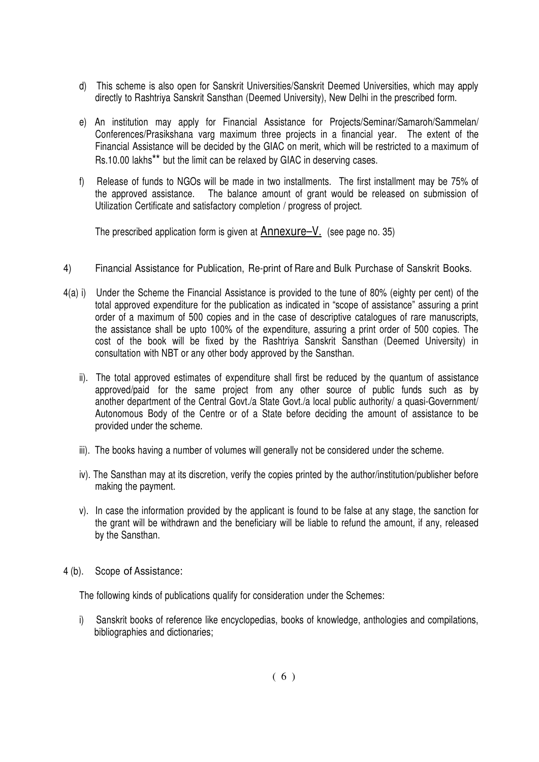- d) This scheme is also open for Sanskrit Universities/Sanskrit Deemed Universities, which may apply directly to Rashtriya Sanskrit Sansthan (Deemed University), New Delhi in the prescribed form.
- e) An institution may apply for Financial Assistance for Projects/Seminar/Samaroh/Sammelan/ Conferences/Prasikshana varg maximum three projects in a financial year. The extent of the Financial Assistance will be decided by the GIAC on merit, which will be restricted to a maximum of Rs.10.00 lakhs\*\* but the limit can be relaxed by GIAC in deserving cases.
- f) Release of funds to NGOs will be made in two installments. The first installment may be 75% of the approved assistance. The balance amount of grant would be released on submission of Utilization Certificate and satisfactory completion / progress of project.

The prescribed application form is given at  $\triangle$ nnexure–V. (see page no. 35)

- 4) Financial Assistance for Publication, Re-print of Rare and Bulk Purchase of Sanskrit Books.
- 4(a) i) Under the Scheme the Financial Assistance is provided to the tune of 80% (eighty per cent) of the total approved expenditure for the publication as indicated in "scope of assistance" assuring a print order of a maximum of 500 copies and in the case of descriptive catalogues of rare manuscripts, the assistance shall be upto 100% of the expenditure, assuring a print order of 500 copies. The cost of the book will be fixed by the Rashtriya Sanskrit Sansthan (Deemed University) in consultation with NBT or any other body approved by the Sansthan.
	- ii). The total approved estimates of expenditure shall first be reduced by the quantum of assistance approved/paid for the same project from any other source of public funds such as by another department of the Central Govt./a State Govt./a local public authority/ a quasi-Government/ Autonomous Body of the Centre or of a State before deciding the amount of assistance to be provided under the scheme.
	- iii). The books having a number of volumes will generally not be considered under the scheme.
	- iv). The Sansthan may at its discretion, verify the copies printed by the author/institution/publisher before making the payment.
	- v). In case the information provided by the applicant is found to be false at any stage, the sanction for the grant will be withdrawn and the beneficiary will be liable to refund the amount, if any, released by the Sansthan.
- 4 (b). Scope of Assistance:

The following kinds of publications qualify for consideration under the Schemes:

i) Sanskrit books of reference like encyclopedias, books of knowledge, anthologies and compilations, bibliographies and dictionaries;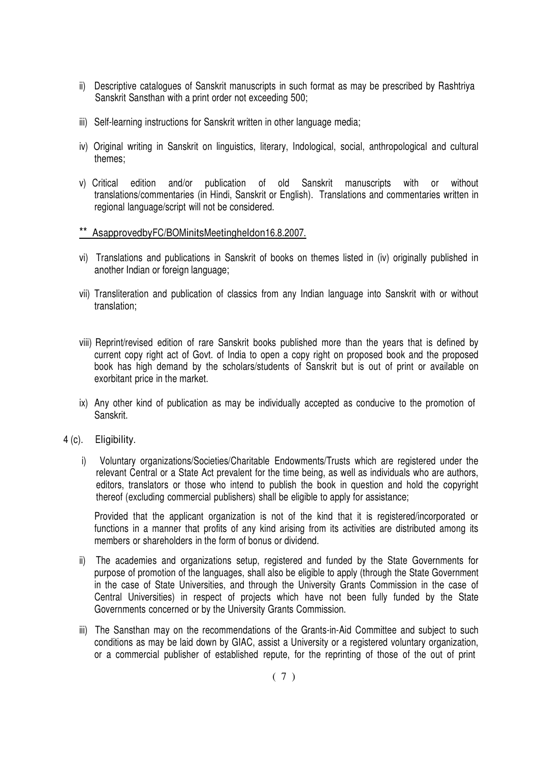- ii) Descriptive catalogues of Sanskrit manuscripts in such format as may be prescribed by Rashtriya Sanskrit Sansthan with a print order not exceeding 500;
- iii) Self-learning instructions for Sanskrit written in other language media;
- iv) Original writing in Sanskrit on linguistics, literary, Indological, social, anthropological and cultural themes;
- v) Critical edition and/or publication of old Sanskrit manuscripts with or without translations/commentaries (in Hindi, Sanskrit or English). Translations and commentaries written in regional language/script will not be considered.
- \*\* As approved by FC/BOM inits Meeting held on 16.8.2007.
- vi) Translations and publications in Sanskrit of books on themes listed in (iv) originally published in another Indian or foreign language;
- vii) Transliteration and publication of classics from any Indian language into Sanskrit with or without translation;
- viii) Reprint/revised edition of rare Sanskrit books published more than the years that is defined by current copy right act of Govt. of India to open a copy right on proposed book and the proposed book has high demand by the scholars/students of Sanskrit but is out of print or available on exorbitant price in the market.
- ix) Any other kind of publication as may be individually accepted as conducive to the promotion of Sanskrit.
- 4 (c). Eligibility.
	- i) Voluntary organizations/Societies/Charitable Endowments/Trusts which are registered under the relevant Central or a State Act prevalent for the time being, as well as individuals who are authors, editors, translators or those who intend to publish the book in question and hold the copyright thereof (excluding commercial publishers) shall be eligible to apply for assistance;

Provided that the applicant organization is not of the kind that it is registered/incorporated or functions in a manner that profits of any kind arising from its activities are distributed among its members or shareholders in the form of bonus or dividend.

- ii) The academies and organizations setup, registered and funded by the State Governments for purpose of promotion of the languages, shall also be eligible to apply (through the State Government in the case of State Universities, and through the University Grants Commission in the case of Central Universities) in respect of projects which have not been fully funded by the State Governments concerned or by the University Grants Commission.
- iii) The Sansthan may on the recommendations of the Grants-in-Aid Committee and subject to such conditions as may be laid down by GIAC, assist a University or a registered voluntary organization, or a commercial publisher of established repute, for the reprinting of those of the out of print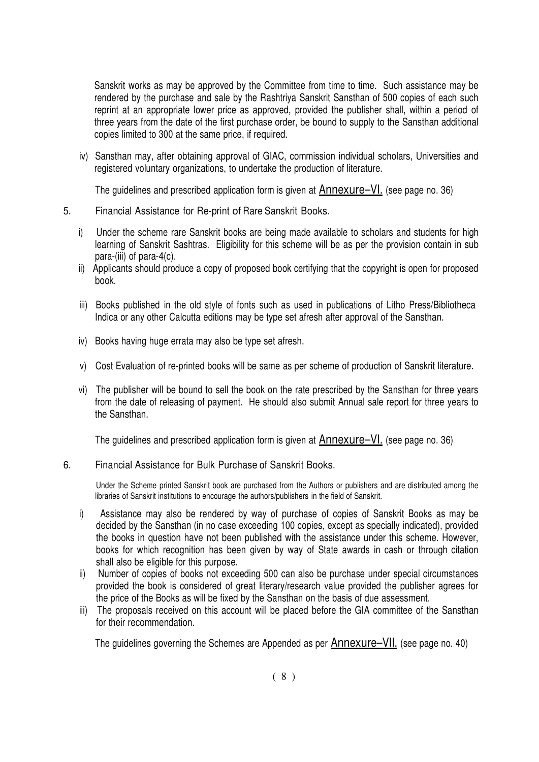Sanskrit works as may be approved by the Committee from time to time. Such assistance may be rendered by the purchase and sale by the Rashtriya Sanskrit Sansthan of 500 copies of each such reprint at an appropriate lower price as approved, provided the publisher shall, within a period of three years from the date of the first purchase order, be bound to supply to the Sansthan additional copies limited to 300 at the same price, if required.

iv) Sansthan may, after obtaining approval of GIAC, commission individual scholars, Universities and registered voluntary organizations, to undertake the production of literature.

The guidelines and prescribed application form is given at  $\triangle$ Annexure–VI. (see page no. 36)

- 5. Financial Assistance for Re-print of Rare Sanskrit Books.
	- i) Under the scheme rare Sanskrit books are being made available to scholars and students for high learning of Sanskrit Sashtras. Eligibility for this scheme will be as per the provision contain in sub para-(iii) of para-4(c).
	- ii) Applicants should produce a copy of proposed book certifying that the copyright is open for proposed book.
	- iii) Books published in the old style of fonts such as used in publications of Litho Press/Bibliotheca Indica or any other Calcutta editions may be type set afresh after approval of the Sansthan.
	- iv) Books having huge errata may also be type set afresh.
	- v) Cost Evaluation of re-printed books will be same as per scheme of production of Sanskrit literature.
	- vi) The publisher will be bound to sell the book on the rate prescribed by the Sansthan for three years from the date of releasing of payment. He should also submit Annual sale report for three years to the Sansthan.

The guidelines and prescribed application form is given at **Annexure–VI**. (see page no. 36)

# 6. Financial Assistance for Bulk Purchase of Sanskrit Books.

Under the Scheme printed Sanskrit book are purchased from the Authors or publishers and are distributed among the libraries of Sanskrit institutions to encourage the authors/publishers in the field of Sanskrit.

- i) Assistance may also be rendered by way of purchase of copies of Sanskrit Books as may be decided by the Sansthan (in no case exceeding 100 copies, except as specially indicated), provided the books in question have not been published with the assistance under this scheme. However, books for which recognition has been given by way of State awards in cash or through citation shall also be eligible for this purpose.
- ii) Number of copies of books not exceeding 500 can also be purchase under special circumstances provided the book is considered of great literary/research value provided the publisher agrees for the price of the Books as will be fixed by the Sansthan on the basis of due assessment.
- iii) The proposals received on this account will be placed before the GIA committee of the Sansthan for their recommendation.

The guidelines governing the Schemes are Appended as per **Annexure-VII**. (see page no. 40)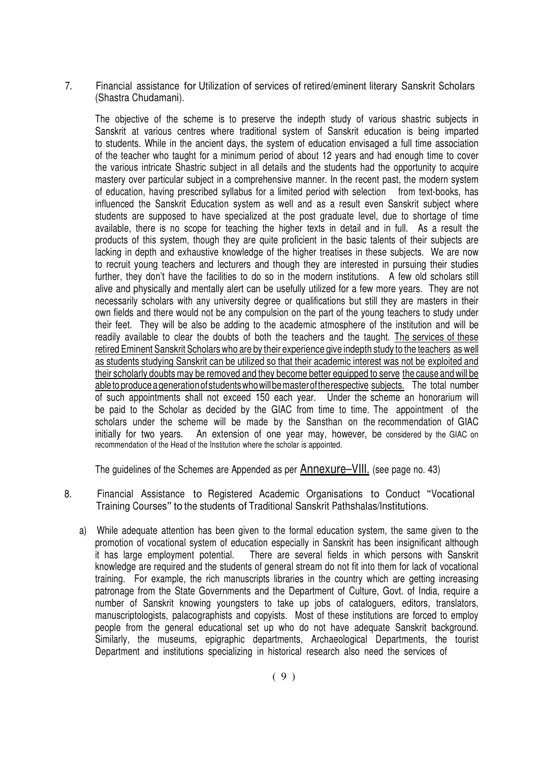7. Financial assistance for Utilization of services of retired/eminent literary Sanskrit Scholars (Shastra Chudamani).

The objective of the scheme is to preserve the indepth study of various shastric subjects in Sanskrit at various centres where traditional system of Sanskrit education is being imparted to students. While in the ancient days, the system of education envisaged a full time association of the teacher who taught for a minimum period of about 12 years and had enough time to cover the various intricate Shastric subject in all details and the students had the opportunity to acquire mastery over particular subject in a comprehensive manner. In the recent past, the modern system of education, having prescribed syllabus for a limited period with selection from text-books, has influenced the Sanskrit Education system as well and as a result even Sanskrit subject where students are supposed to have specialized at the post graduate level, due to shortage of time available, there is no scope for teaching the higher texts in detail and in full. As a result the products of this system, though they are quite proficient in the basic talents of their subjects are lacking in depth and exhaustive knowledge of the higher treatises in these subjects. We are now to recruit young teachers and lecturers and though they are interested in pursuing their studies further, they don't have the facilities to do so in the modern institutions. A few old scholars still alive and physically and mentally alert can be usefully utilized for a few more years. They are not necessarily scholars with any university degree or qualifications but still they are masters in their own fields and there would not be any compulsion on the part of the young teachers to study under their feet. They will be also be adding to the academic atmosphere of the institution and will be readily available to clear the doubts of both the teachers and the taught. The services of these retired Eminent Sanskrit Scholars who are by their experience give indepth study to the teachers as well as students studying Sanskrit can be utilized so that their academic interest was not be exploited and their scholarly doubts may be removed and they become better equipped to serve the cause and will be able to produce a generation of students who will be master of the respective subjects. The total number of such appointments shall not exceed 150 each year. Under the scheme an honorarium will be paid to the Scholar as decided by the GIAC from time to time. The appointment of the scholars under the scheme will be made by the Sansthan on the recommendation of GIAC initially for two years. An extension of one year may, however, be considered by the GIAC on recommendation of the Head of the Institution where the scholar is appointed.

The guidelines of the Schemes are Appended as per  $\triangle$  Annexure–VIII. (see page no. 43)

- 8. Financial Assistance to Registered Academic Organisations to Conduct "Vocational Training Courses" to the students of Traditional Sanskrit Pathshalas/Institutions.
	- a) While adequate attention has been given to the formal education system, the same given to the promotion of vocational system of education especially in Sanskrit has been insignificant although it has large employment potential. There are several fields in which persons with Sanskrit knowledge are required and the students of general stream do not fit into them for lack of vocational training. For example, the rich manuscripts libraries in the country which are getting increasing patronage from the State Governments and the Department of Culture, Govt, of India, require a number of Sanskrit knowing youngsters to take up jobs of cataloguers, editors, translators, manuscriptologists, palacographists and copyists. Most of these institutions are forced to employ people from the general educational set up who do not have adequate Sanskrit background. Similarly, the museums, epigraphic departments, Archaeological Departments, the tourist Department and institutions specializing in historical research also need the services of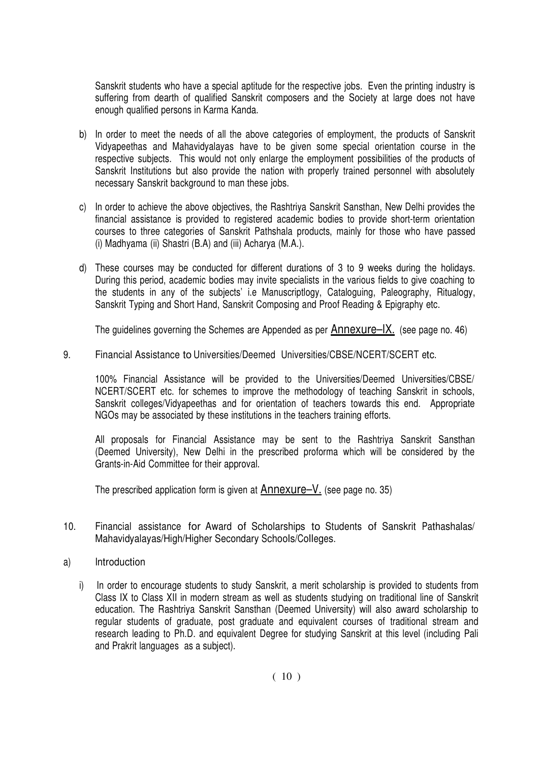Sanskrit students who have a special aptitude for the respective jobs. Even the printing industry is suffering from dearth of qualified Sanskrit composers and the Society at large does not have enough qualified persons in Karma Kanda.

- b) In order to meet the needs of all the above categories of employment, the products of Sanskrit Vidyapeethas and Mahavidyalayas have to be given some special orientation course in the respective subjects. This would not only enlarge the employment possibilities of the products of Sanskrit Institutions but also provide the nation with properly trained personnel with absolutely necessary Sanskrit background to man these jobs.
- c) In order to achieve the above objectives, the Rashtriya Sanskrit Sansthan, New Delhi provides the financial assistance is provided to registered academic bodies to provide short-term orientation courses to three categories of Sanskrit Pathshala products, mainly for those who have passed (i) Madhyama (ii) Shastri (B.A) and (iii) Acharya (M.A.).
- d) These courses may be conducted for different durations of 3 to 9 weeks during the holidays. During this period, academic bodies may invite specialists in the various fields to give coaching to the students in any of the subjects' i.e Manuscriptlogy, Cataloguing, Paleography, Ritualogy, Sanskrit Typing and Short Hand, Sanskrit Composing and Proof Reading & Epigraphy etc.

The guidelines governing the Schemes are Appended as per  $\triangle$ nnexure- $\angle$ IX. (see page no. 46)

9. Financial Assistance to Universities/Deemed Universities/CBSE/NCERT/SCERT etc.

 100% Financial Assistance will be provided to the Universities/Deemed Universities/CBSE/ NCERT/SCERT etc. for schemes to improve the methodology of teaching Sanskrit in schools, Sanskrit colleges/Vidyapeethas and for orientation of teachers towards this end. Appropriate NGOs may be associated by these institutions in the teachers training efforts.

 All proposals for Financial Assistance may be sent to the Rashtriya Sanskrit Sansthan (Deemed University), New Delhi in the prescribed proforma which will be considered by the Grants-in-Aid Committee for their approval.

The prescribed application form is given at  $\triangle$ nnexure- $V$ . (see page no. 35)

- 10. Financial assistance for Award of Scholarships to Students of Sanskrit Pathashalas/ Mahavidyalayas/High/Higher Secondary Schools/Colleges.
- a) Introduction
	- i) In order to encourage students to study Sanskrit, a merit scholarship is provided to students from Class IX to Class XII in modern stream as well as students studying on traditional line of Sanskrit education. The Rashtriya Sanskrit Sansthan (Deemed University) will also award scholarship to regular students of graduate, post graduate and equivalent courses of traditional stream and research leading to Ph.D. and equivalent Degree for studying Sanskrit at this level (including Pali and Prakrit languages as a subject).

 $(10)$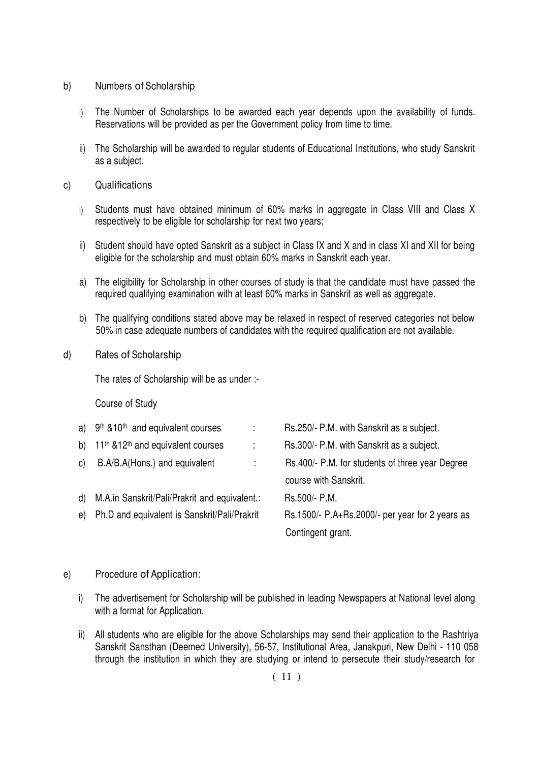- b) Numbers of Scholarship
	- i) The Number of Scholarships to be awarded each year depends upon the availability of funds. Reservations will be provided as per the Government policy from time to time.
	- ii) The Scholarship will be awarded to regular students of Educational Institutions, who study Sanskrit as a subject.
- c) Qualifications
	- i) Students must have obtained minimum of 60% marks in aggregate in Class VIII and Class X respectively to be eligible for scholarship for next two years;
	- ii) Student should have opted Sanskrit as a subject in Class IX and X and in class XI and XII for being eligible for the scholarship and must obtain 60% marks in Sanskrit each year.
	- a) The eligibility for Scholarship in other courses of study is that the candidate must have passed the required qualifying examination with at least 60% marks in Sanskrit as well as aggregate.
	- b) The qualifying conditions stated above may be relaxed in respect of reserved categories not below 50% in case adequate numbers of candidates with the required qualification are not available.
- d) Rates of Scholarship

The rates of Scholarship will be as under :-

Course of Study

|    | a) 9th & 10th and equivalent courses                      | $\mathcal{L}$                 | Rs.250/- P.M. with Sanskrit as a subject.       |
|----|-----------------------------------------------------------|-------------------------------|-------------------------------------------------|
| b) | 11 <sup>th</sup> &12 <sup>th</sup> and equivalent courses | ÷                             | Rs.300/- P.M. with Sanskrit as a subject.       |
| C) | B.A/B.A(Hons.) and equivalent                             | $\mathcal{L}^{\mathcal{L}}$ . | Rs.400/- P.M. for students of three year Degree |
|    |                                                           |                               | course with Sanskrit.                           |
|    | d) M.A. in Sanskrit/Pali/Prakrit and equivalent.:         |                               | Rs.500/- P.M.                                   |
|    | e) Ph.D and equivalent is Sanskrit/Pali/Prakrit           |                               | Rs.1500/- P.A+Rs.2000/- per year for 2 years as |
|    |                                                           |                               | Contingent grant.                               |
|    |                                                           |                               |                                                 |

#### e) Procedure of Application:

- i) The advertisement for Scholarship will be published in leading Newspapers at National level along with a format for Application.
- ii) All students who are eligible for the above Scholarships may send their application to the Rashtriya Sanskrit Sansthan (Deemed University), 56-57, Institutional Area, Janakpuri, New Delhi - 110 058 through the institution in which they are studying or intend to persecute their study/research for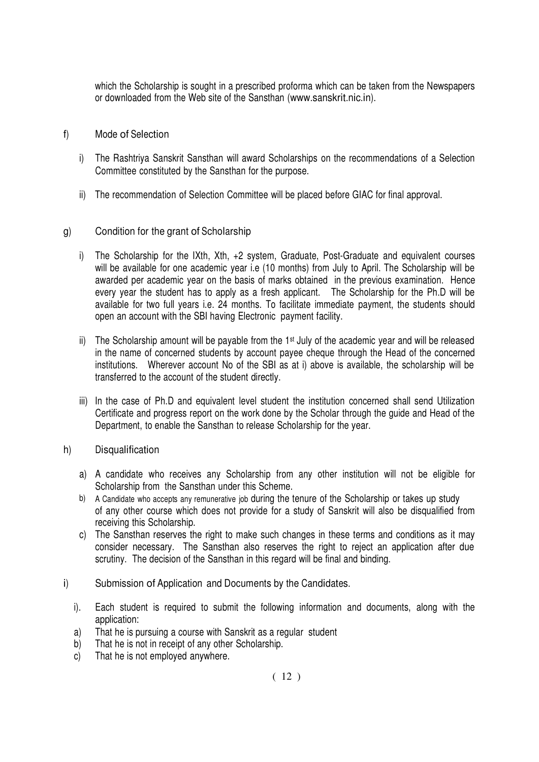which the Scholarship is sought in a prescribed proforma which can be taken from the Newspapers or downloaded from the Web site of the Sansthan (www.sanskrit.nic.in).

- f) Mode of Selection
	- i) The Rashtriya Sanskrit Sansthan will award Scholarships on the recommendations of a Selection Committee constituted by the Sansthan for the purpose.
	- ii) The recommendation of Selection Committee will be placed before GIAC for final approval.

### g) Condition for the grant of Scholarship

- i) The Scholarship for the IXth, Xth, +2 system, Graduate, Post-Graduate and equivalent courses will be available for one academic year i.e (10 months) from July to April. The Scholarship will be awarded per academic year on the basis of marks obtained in the previous examination. Hence every year the student has to apply as a fresh applicant. The Scholarship for the Ph.D will be available for two full years i.e. 24 months. To facilitate immediate payment, the students should open an account with the SBI having Electronic payment facility.
- ii) The Scholarship amount will be payable from the 1<sup>st</sup> July of the academic year and will be released in the name of concerned students by account payee cheque through the Head of the concerned institutions. Wherever account No of the SBI as at i) above is available, the scholarship will be transferred to the account of the student directly.
- iii) In the case of Ph.D and equivalent level student the institution concerned shall send Utilization Certificate and progress report on the work done by the Scholar through the guide and Head of the Department, to enable the Sansthan to release Scholarship for the year.
- h) Disqualification
	- a) A candidate who receives any Scholarship from any other institution will not be eligible for Scholarship from the Sansthan under this Scheme.
	- b) A Candidate who accepts any remunerative job during the tenure of the Scholarship or takes up study of any other course which does not provide for a study of Sanskrit will also be disqualified from receiving this Scholarship.
	- c) The Sansthan reserves the right to make such changes in these terms and conditions as it may consider necessary. The Sansthan also reserves the right to reject an application after due scrutiny. The decision of the Sansthan in this regard will be final and binding.
- i) Submission of Application and Documents by the Candidates.
	- i). Each student is required to submit the following information and documents, along with the application:
	- a) That he is pursuing a course with Sanskrit as a regular student
	- b) That he is not in receipt of any other Scholarship.
	- c) That he is not employed anywhere.

 $(12)$